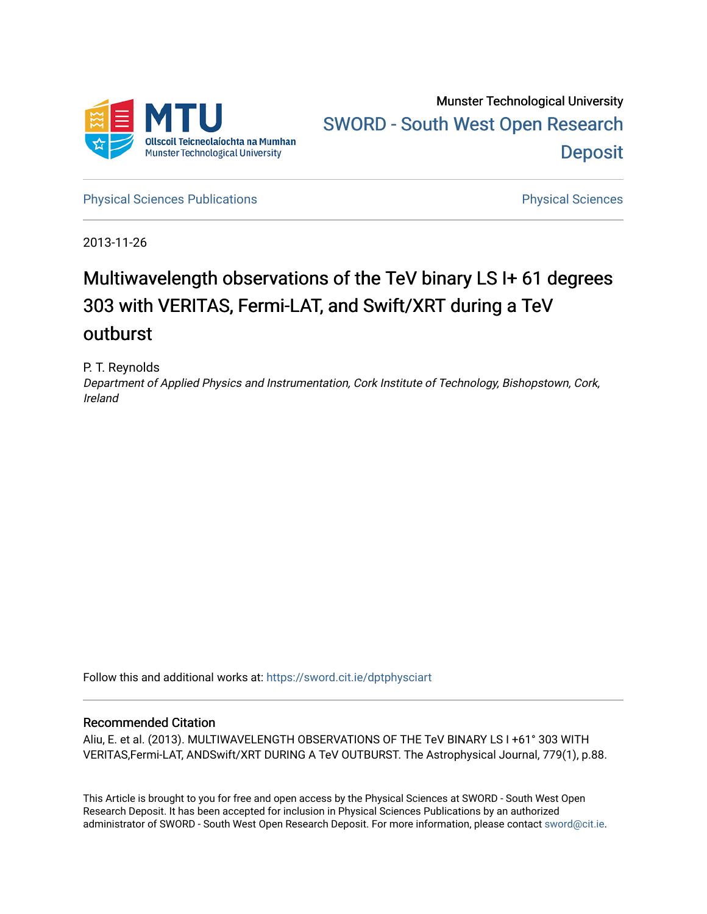

[Physical Sciences Publications](https://sword.cit.ie/dptphysciart) **Physical Sciences** Physical Sciences

2013-11-26

# Multiwavelength observations of the TeV binary LS I+ 61 degrees 303 with VERITAS, Fermi-LAT, and Swift/XRT during a TeV outburst

P. T. Reynolds

Department of Applied Physics and Instrumentation, Cork Institute of Technology, Bishopstown, Cork, Ireland

Follow this and additional works at: [https://sword.cit.ie/dptphysciart](https://sword.cit.ie/dptphysciart?utm_source=sword.cit.ie%2Fdptphysciart%2F18&utm_medium=PDF&utm_campaign=PDFCoverPages)

## Recommended Citation

Aliu, E. et al. (2013). MULTIWAVELENGTH OBSERVATIONS OF THE TeV BINARY LS I +61° 303 WITH VERITAS,Fermi-LAT, ANDSwift/XRT DURING A TeV OUTBURST. The Astrophysical Journal, 779(1), p.88.

This Article is brought to you for free and open access by the Physical Sciences at SWORD - South West Open Research Deposit. It has been accepted for inclusion in Physical Sciences Publications by an authorized administrator of SWORD - South West Open Research Deposit. For more information, please contact [sword@cit.ie.](mailto:sword@cit.ie)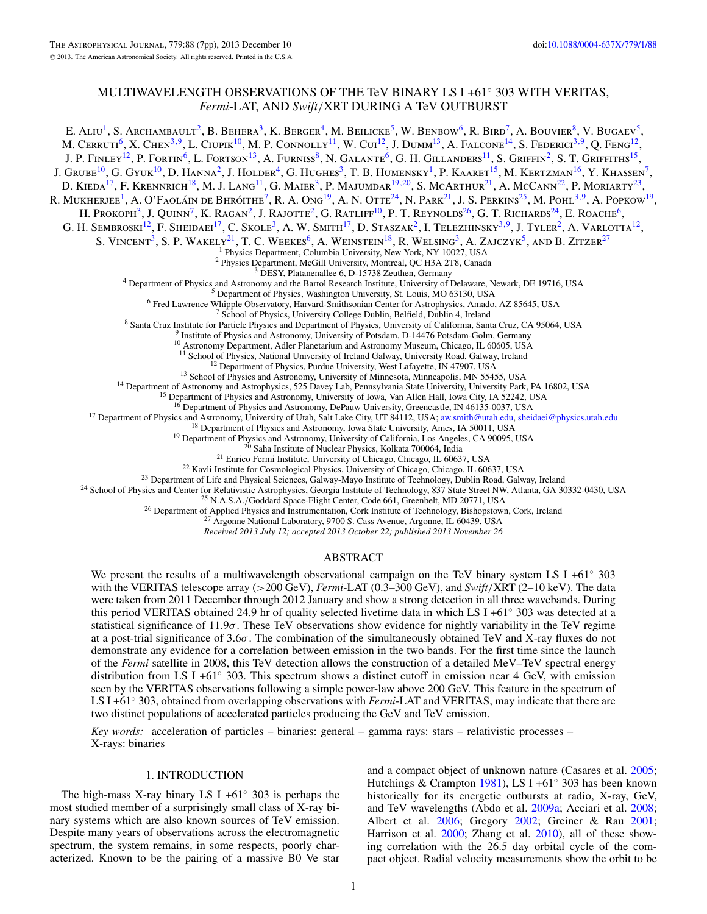## MULTIWAVELENGTH OBSERVATIONS OF THE TeV BINARY LS I +61◦ 303 WITH VERITAS, *Fermi*-LAT, AND *Swift/*XRT DURING A TeV OUTBURST

E. ALIU<sup>1</sup>, S. Archambault<sup>2</sup>, B. Behera<sup>3</sup>, K. Berger<sup>4</sup>, M. Beilicke<sup>5</sup>, W. Benbow<sup>6</sup>, R. Bird<sup>7</sup>, A. Bouvier<sup>8</sup>, V. Bugaev<sup>5</sup>, M. CERRUTI<sup>6</sup>, X. CHEN<sup>3,9</sup>, L. CIUPIK<sup>10</sup>, M. P. CONNOLLY<sup>11</sup>, W. CUI<sup>12</sup>, J. DUMM<sup>13</sup>, A. FALCONE<sup>14</sup>, S. FEDERICI<sup>3,9</sup>, Q. FENG<sup>12</sup>, J. P. FINLEY<sup>12</sup>, P. FORTIN<sup>6</sup>, L. FORTSON<sup>13</sup>, A. FURNISS<sup>8</sup>, N. GALANTE<sup>6</sup>, G. H. GILLANDERS<sup>11</sup>, S. GRIFFIN<sup>2</sup>, S. T. GRIFFITHS<sup>15</sup>, J. Grube<sup>10</sup>, G. Gyuk<sup>10</sup>, D. Hanna<sup>2</sup>, J. Holder<sup>4</sup>, G. Hughes<sup>3</sup>, T. B. Humensky<sup>1</sup>, P. Kaaret<sup>15</sup>, M. Kertzman<sup>16</sup>, Y. Khassen<sup>7</sup>, D. KIEDA<sup>17</sup>, F. KRENNRICH<sup>18</sup>, M. J. LANG<sup>11</sup>, G. MAIER<sup>3</sup>, P. MAJUMDAR<sup>19,20</sup>, S. MCARTHUR<sup>21</sup>, A. McCann<sup>22</sup>, P. MORIARTY<sup>23</sup>, R. MUKHERJEE<sup>1</sup>, A. O'FAOLÁIN DE BHRÓITHE<sup>7</sup>, R. A. Ong<sup>19</sup>, A. N. OTTE<sup>24</sup>, N. PARK<sup>21</sup>, J. S. PERKINS<sup>25</sup>, M. POHL<sup>3,9</sup>, A. POPKOW<sup>19</sup>, H. Prokoph<sup>3</sup>, J. Quinn<sup>7</sup>, K. Ragan<sup>2</sup>, J. Rajotte<sup>2</sup>, G. Ratliff<sup>10</sup>, P. T. Reynolds<sup>26</sup>, G. T. Richards<sup>24</sup>, E. Roache<sup>6</sup>, G. H. SEMBROSKI<sup>12</sup>, F. SHEIDAEI<sup>17</sup>, C. SKOLE<sup>3</sup>, A. W. SMITH<sup>17</sup>, D. STASZAK<sup>2</sup>, I. TELEZHINSKY<sup>3,9</sup>, J. TYLER<sup>2</sup>, A. VARLOTTA<sup>12</sup>, S. VINCENT<sup>3</sup>, S. P. WAKELY<sup>21</sup>, T. C. WEEKES<sup>6</sup>, A. WEINSTEIN<sup>18</sup>, R. WELSING<sup>3</sup>, A. ZAJCZYK<sup>5</sup>, AND B. ZITZER<sup>27</sup><br><sup>1</sup> Physics Department, Columbia University, New York, NY 10027, USA <sup>2</sup> Physics Department, McGill University, Montreal, QC H3A 2T8, Canada<br><sup>3</sup> DESY, Platanenallee 6, D-15738 Zeuthen, Germany<br><sup>4</sup> Department of Physics and Astronomy and the Bartol Research Institute, University of Delaware <sup>12</sup> Department of Physics, Purdue University, West Lafayette, IN 47907, USA<br><sup>13</sup> School of Physics and Astronomy, University of Minnesota, Minneapolis, MN 55455, USA<br><sup>14</sup> Department of Astronomy and Astrophysics, 525 Dav <sup>16</sup> Department of Physics and Astronomy, DePauw University, Greencastle, IN 46135-0037, USA<br>
<sup>17</sup> Department of Physics and Astronomy, University of Utah, Salt Lake City, UT 84112, USA; [aw.smith@utah.edu,](mailto:aw.smith@utah.edu) sheidaei@physic *Received 2013 July 12; accepted 2013 October 22; published 2013 November 26* ABSTRACT We present the results of a multiwavelength observational campaign on the TeV binary system LS I +61◦ 303 with the VERITAS telescope array (*>*200 GeV), *Fermi*-LAT (0.3–300 GeV), and *Swift/*XRT (2–10 keV). The data were taken from 2011 December through 2012 January and show a strong detection in all three wavebands. During this period VERITAS obtained 24.9 hr of quality selected livetime data in which LS I +61◦ 303 was detected at a

statistical significance of 11.9*σ*. These TeV observations show evidence for nightly variability in the TeV regime at a post-trial significance of 3.6*σ*. The combination of the simultaneously obtained TeV and X-ray fluxes do not demonstrate any evidence for a correlation between emission in the two bands. For the first time since the launch of the *Fermi* satellite in 2008, this TeV detection allows the construction of a detailed MeV–TeV spectral energy distribution from LS I +61◦ 303. This spectrum shows a distinct cutoff in emission near 4 GeV, with emission seen by the VERITAS observations following a simple power-law above 200 GeV. This feature in the spectrum of LS I +61◦ 303, obtained from overlapping observations with *Fermi*-LAT and VERITAS, may indicate that there are two distinct populations of accelerated particles producing the GeV and TeV emission.

*Key words:* acceleration of particles – binaries: general – gamma rays: stars – relativistic processes – X-rays: binaries

### 1. INTRODUCTION

The high-mass X-ray binary LS I +61 $\degree$  303 is perhaps the most studied member of a surprisingly small class of X-ray binary systems which are also known sources of TeV emission. Despite many years of observations across the electromagnetic spectrum, the system remains, in some respects, poorly characterized. Known to be the pairing of a massive B0 Ve star and a compact object of unknown nature (Casares et al. [2005;](#page-7-0) Hutchings & Crampton [1981\)](#page-7-0), LS I +61◦ 303 has been known historically for its energetic outbursts at radio, X-ray, GeV, and TeV wavelengths (Abdo et al. [2009a;](#page-7-0) Acciari et al. [2008;](#page-7-0) Albert et al. [2006;](#page-7-0) Gregory [2002;](#page-7-0) Greiner & Rau [2001;](#page-7-0) Harrison et al. [2000;](#page-7-0) Zhang et al. [2010\)](#page-7-0), all of these showing correlation with the 26.5 day orbital cycle of the compact object. Radial velocity measurements show the orbit to be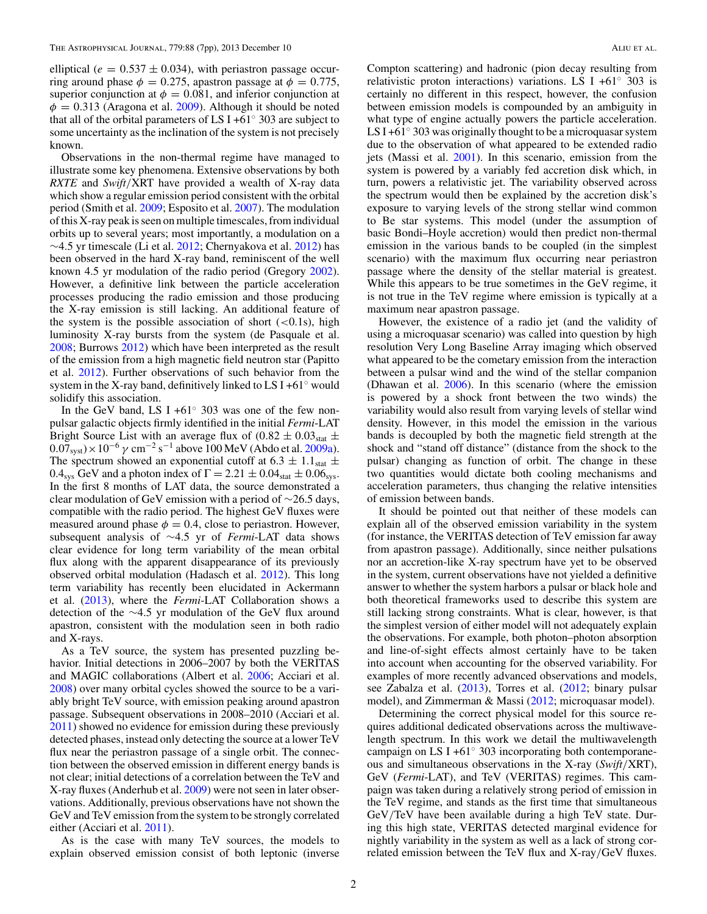elliptical ( $e = 0.537 \pm 0.034$ ), with periastron passage occurring around phase  $\phi = 0.275$ , apastron passage at  $\phi = 0.775$ , superior conjunction at  $\phi = 0.081$ , and inferior conjunction at  $\phi = 0.313$  (Aragona et al. [2009\)](#page-7-0). Although it should be noted that all of the orbital parameters of LS I +61 $\degree$  303 are subject to some uncertainty as the inclination of the system is not precisely known.

Observations in the non-thermal regime have managed to illustrate some key phenomena. Extensive observations by both *RXTE* and *Swift/*XRT have provided a wealth of X-ray data which show a regular emission period consistent with the orbital period (Smith et al. [2009;](#page-7-0) Esposito et al. [2007\)](#page-7-0). The modulation of this X-ray peak is seen on multiple timescales, from individual orbits up to several years; most importantly, a modulation on a  $\sim$ 4.5 yr timescale (Li et al. [2012;](#page-7-0) Chernyakova et al. [2012\)](#page-7-0) has been observed in the hard X-ray band, reminiscent of the well known 4.5 yr modulation of the radio period (Gregory [2002\)](#page-7-0). However, a definitive link between the particle acceleration processes producing the radio emission and those producing the X-ray emission is still lacking. An additional feature of the system is the possible association of short (*<*0.1s), high luminosity X-ray bursts from the system (de Pasquale et al. [2008;](#page-7-0) Burrows [2012\)](#page-7-0) which have been interpreted as the result of the emission from a high magnetic field neutron star (Papitto et al. [2012\)](#page-7-0). Further observations of such behavior from the system in the X-ray band, definitively linked to LS I +61 $\degree$  would solidify this association.

In the GeV band, LS I +61 $\degree$  303 was one of the few nonpulsar galactic objects firmly identified in the initial *Fermi*-LAT Bright Source List with an average flux of  $(0.82 \pm 0.03<sub>stat</sub> \pm 1)$  $0.07<sub>svst</sub>$   $\times$  10<sup>-6</sup>  $\gamma$  cm<sup>-2</sup> s<sup>-1</sup> above 100 MeV (Abdo et al. [2009a\)](#page-7-0). The spectrum showed an exponential cutoff at  $6.3 \pm 1.1_{stat} \pm 1.1_{stat}$ 0.4<sub>sys</sub> GeV and a photon index of  $\Gamma = 2.21 \pm 0.04_{stat} \pm 0.06_{sys}$ . In the first 8 months of LAT data, the source demonstrated a clear modulation of GeV emission with a period of ∼26.5 days, compatible with the radio period. The highest GeV fluxes were measured around phase  $\phi = 0.4$ , close to periastron. However, subsequent analysis of ∼4.5 yr of *Fermi*-LAT data shows clear evidence for long term variability of the mean orbital flux along with the apparent disappearance of its previously observed orbital modulation (Hadasch et al. [2012\)](#page-7-0). This long term variability has recently been elucidated in Ackermann et al. [\(2013\)](#page-7-0), where the *Fermi*-LAT Collaboration shows a detection of the ∼4.5 yr modulation of the GeV flux around apastron, consistent with the modulation seen in both radio and X-rays.

As a TeV source, the system has presented puzzling behavior. Initial detections in 2006–2007 by both the VERITAS and MAGIC collaborations (Albert et al. [2006;](#page-7-0) Acciari et al. [2008\)](#page-7-0) over many orbital cycles showed the source to be a variably bright TeV source, with emission peaking around apastron passage. Subsequent observations in 2008–2010 (Acciari et al. [2011\)](#page-7-0) showed no evidence for emission during these previously detected phases, instead only detecting the source at a lower TeV flux near the periastron passage of a single orbit. The connection between the observed emission in different energy bands is not clear; initial detections of a correlation between the TeV and X-ray fluxes (Anderhub et al. [2009\)](#page-7-0) were not seen in later observations. Additionally, previous observations have not shown the GeV and TeV emission from the system to be strongly correlated either (Acciari et al. [2011\)](#page-7-0).

As is the case with many TeV sources, the models to explain observed emission consist of both leptonic (inverse

Compton scattering) and hadronic (pion decay resulting from relativistic proton interactions) variations. LS I +61 $\degree$  303 is certainly no different in this respect, however, the confusion between emission models is compounded by an ambiguity in what type of engine actually powers the particle acceleration. LS I +61<sup>°</sup> 303 was originally thought to be a microquasar system due to the observation of what appeared to be extended radio jets (Massi et al. [2001\)](#page-7-0). In this scenario, emission from the system is powered by a variably fed accretion disk which, in turn, powers a relativistic jet. The variability observed across the spectrum would then be explained by the accretion disk's exposure to varying levels of the strong stellar wind common to Be star systems. This model (under the assumption of basic Bondi–Hoyle accretion) would then predict non-thermal emission in the various bands to be coupled (in the simplest scenario) with the maximum flux occurring near periastron passage where the density of the stellar material is greatest. While this appears to be true sometimes in the GeV regime, it is not true in the TeV regime where emission is typically at a maximum near apastron passage.

However, the existence of a radio jet (and the validity of using a microquasar scenario) was called into question by high resolution Very Long Baseline Array imaging which observed what appeared to be the cometary emission from the interaction between a pulsar wind and the wind of the stellar companion (Dhawan et al. [2006\)](#page-7-0). In this scenario (where the emission is powered by a shock front between the two winds) the variability would also result from varying levels of stellar wind density. However, in this model the emission in the various bands is decoupled by both the magnetic field strength at the shock and "stand off distance" (distance from the shock to the pulsar) changing as function of orbit. The change in these two quantities would dictate both cooling mechanisms and acceleration parameters, thus changing the relative intensities of emission between bands.

It should be pointed out that neither of these models can explain all of the observed emission variability in the system (for instance, the VERITAS detection of TeV emission far away from apastron passage). Additionally, since neither pulsations nor an accretion-like X-ray spectrum have yet to be observed in the system, current observations have not yielded a definitive answer to whether the system harbors a pulsar or black hole and both theoretical frameworks used to describe this system are still lacking strong constraints. What is clear, however, is that the simplest version of either model will not adequately explain the observations. For example, both photon–photon absorption and line-of-sight effects almost certainly have to be taken into account when accounting for the observed variability. For examples of more recently advanced observations and models, see Zabalza et al. [\(2013\)](#page-7-0), Torres et al. [\(2012;](#page-7-0) binary pulsar model), and Zimmerman & Massi [\(2012;](#page-7-0) microquasar model).

Determining the correct physical model for this source requires additional dedicated observations across the multiwavelength spectrum. In this work we detail the multiwavelength campaign on LS I +61◦ 303 incorporating both contemporaneous and simultaneous observations in the X-ray (*Swift/*XRT), GeV (*Fermi*-LAT), and TeV (VERITAS) regimes. This campaign was taken during a relatively strong period of emission in the TeV regime, and stands as the first time that simultaneous GeV*/*TeV have been available during a high TeV state. During this high state, VERITAS detected marginal evidence for nightly variability in the system as well as a lack of strong correlated emission between the TeV flux and X-ray*/*GeV fluxes.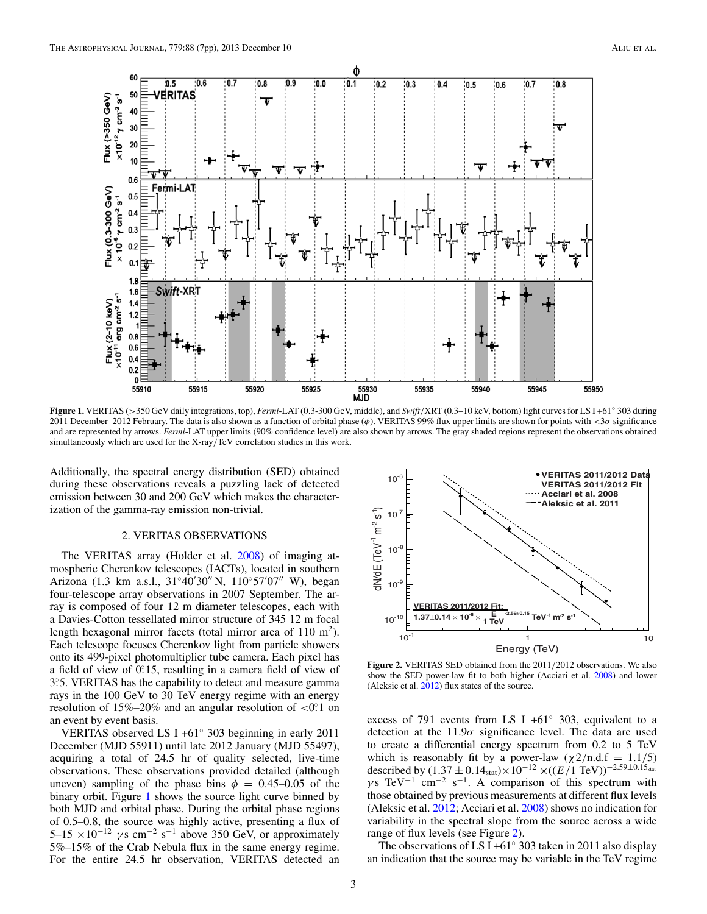<span id="page-3-0"></span>

**Figure 1.** VERITAS (*>*350 GeV daily integrations, top), *Fermi*-LAT (0.3-300 GeV, middle), and *Swift/*XRT (0.3–10 keV, bottom) light curves for LS I +61◦ 303 during 2011 December–2012 February. The data is also shown as a function of orbital phase (*φ*). VERITAS 99% flux upper limits are shown for points with *<*3*σ* significance and are represented by arrows. *Fermi*-LAT upper limits (90% confidence level) are also shown by arrows. The gray shaded regions represent the observations obtained simultaneously which are used for the X-ray*/*TeV correlation studies in this work.

Additionally, the spectral energy distribution (SED) obtained during these observations reveals a puzzling lack of detected emission between 30 and 200 GeV which makes the characterization of the gamma-ray emission non-trivial.

#### 2. VERITAS OBSERVATIONS

The VERITAS array (Holder et al. [2008\)](#page-7-0) of imaging atmospheric Cherenkov telescopes (IACTs), located in southern Arizona (1.3 km a.s.l., 31°40′30″ N, 110°57′07″ W), began four-telescope array observations in 2007 September. The array is composed of four 12 m diameter telescopes, each with a Davies-Cotton tessellated mirror structure of 345 12 m focal length hexagonal mirror facets (total mirror area of  $110 \text{ m}^2$ ). Each telescope focuses Cherenkov light from particle showers onto its 499-pixel photomultiplier tube camera. Each pixel has a field of view of 0.<sup>2</sup>15, resulting in a camera field of view of 3*.* ◦5. VERITAS has the capability to detect and measure gamma rays in the 100 GeV to 30 TeV energy regime with an energy resolution of 15%–20% and an angular resolution of <0.<sup>o.</sup>1 on an event by event basis.

VERITAS observed LS I +61◦ 303 beginning in early 2011 December (MJD 55911) until late 2012 January (MJD 55497), acquiring a total of 24.5 hr of quality selected, live-time observations. These observations provided detailed (although uneven) sampling of the phase bins  $\phi = 0.45{\text -}0.05$  of the binary orbit. Figure 1 shows the source light curve binned by both MJD and orbital phase. During the orbital phase regions of 0.5–0.8, the source was highly active, presenting a flux of 5–15  $\times 10^{-12}$  *γ*s cm<sup>-2</sup> s<sup>-1</sup> above 350 GeV, or approximately 5%–15% of the Crab Nebula flux in the same energy regime. For the entire 24.5 hr observation, VERITAS detected an



**Figure 2.** VERITAS SED obtained from the 2011*/*2012 observations. We also show the SED power-law fit to both higher (Acciari et al. [2008\)](#page-7-0) and lower (Aleksic et al. [2012\)](#page-7-0) flux states of the source.

excess of 791 events from LS I +61 $\degree$  303, equivalent to a detection at the 11.9*σ* significance level. The data are used to create a differential energy spectrum from 0.2 to 5 TeV which is reasonably fit by a power-law  $(\chi 2/n.d.f = 1.1/5)$ described by  $(1.37 \pm 0.14<sub>stat</sub>) \times 10^{-12} \times ((E/T T<sub>e</sub>V))^{-2.59 \pm 0.15<sub>stat</sub>}$  $\gamma s$  TeV<sup>-1</sup> cm<sup>-2</sup> s<sup>-1</sup>. A comparison of this spectrum with those obtained by previous measurements at different flux levels (Aleksic et al. [2012;](#page-7-0) Acciari et al. [2008\)](#page-7-0) shows no indication for variability in the spectral slope from the source across a wide range of flux levels (see Figure 2).

The observations of LS I +61 $\degree$  303 taken in 2011 also display an indication that the source may be variable in the TeV regime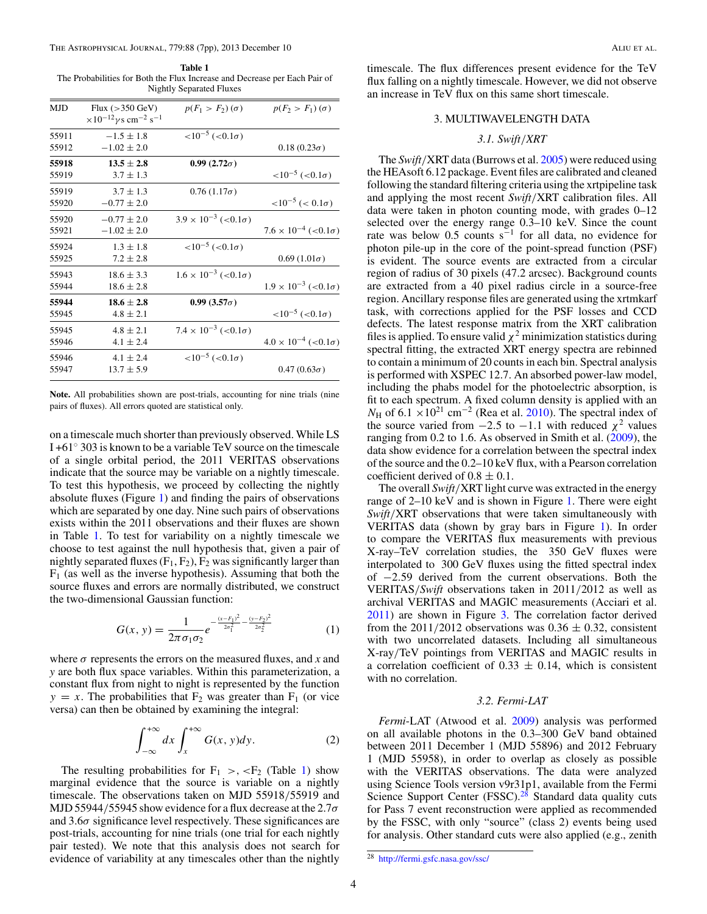#### The Astrophysical Journal, 779:88 (7pp), 2013 December 10 Aliu et al.

**Table 1** The Probabilities for Both the Flux Increase and Decrease per Each Pair of Nightly Separated Fluxes

| <b>MJD</b> | Flux $(>350 \text{ GeV})$<br>$\times 10^{-12}$ y s cm <sup>-2</sup> s <sup>-1</sup> | $p(F_1 > F_2)(\sigma)$                | $p(F_2 > F_1)(\sigma)$                |
|------------|-------------------------------------------------------------------------------------|---------------------------------------|---------------------------------------|
| 55911      | $-1.5 \pm 1.8$                                                                      | $<10^{-5}$ ( $<0.1\sigma$ )           |                                       |
| 55912      | $-1.02 \pm 2.0$                                                                     |                                       | $0.18(0.23\sigma)$                    |
| 55918      | $13.5 \pm 2.8$                                                                      | $0.99(2.72\sigma)$                    |                                       |
| 55919      | $3.7 \pm 1.3$                                                                       |                                       | $<10^{-5}$ ( $<0.1\sigma$ )           |
| 55919      | $3.7 + 1.3$                                                                         | $0.76(1.17\sigma)$                    |                                       |
| 55920      | $-0.77 \pm 2.0$                                                                     |                                       | $<10^{-5}$ (< 0.1 $\sigma$ )          |
| 55920      | $-0.77 \pm 2.0$                                                                     | $3.9 \times 10^{-3}$ (<0.1 $\sigma$ ) |                                       |
| 55921      | $-1.02 \pm 2.0$                                                                     |                                       | $7.6 \times 10^{-4}$ (<0.1 $\sigma$ ) |
| 55924      | $1.3 \pm 1.8$                                                                       | $<10^{-5}$ ( $<0.1\sigma$ )           |                                       |
| 55925      | $7.2 + 2.8$                                                                         |                                       | $0.69(1.01\sigma)$                    |
| 55943      | $18.6 \pm 3.3$                                                                      | $1.6 \times 10^{-3}$ (<0.1 $\sigma$ ) |                                       |
| 55944      | $18.6 \pm 2.8$                                                                      |                                       | $1.9 \times 10^{-3}$ (<0.1 $\sigma$ ) |
| 55944      | $18.6 \pm 2.8$                                                                      | $0.99(3.57\sigma)$                    |                                       |
| 55945      | $4.8 \pm 2.1$                                                                       |                                       | $<10^{-5}$ ( $<0.1\sigma$ )           |
| 55945      | $4.8 \pm 2.1$                                                                       | $7.4 \times 10^{-3}$ (<0.1 $\sigma$ ) |                                       |
| 55946      | $4.1 \pm 2.4$                                                                       |                                       | $4.0 \times 10^{-4}$ (<0.1 $\sigma$ ) |
| 55946      | $4.1 \pm 2.4$                                                                       | $<10^{-5}$ ( $<0.1\sigma$ )           |                                       |
| 55947      | $13.7 \pm 5.9$                                                                      |                                       | $0.47(0.63\sigma)$                    |
|            |                                                                                     |                                       |                                       |

**Note.** All probabilities shown are post-trials, accounting for nine trials (nine pairs of fluxes). All errors quoted are statistical only.

on a timescale much shorter than previously observed. While LS I +61◦ 303 is known to be a variable TeV source on the timescale of a single orbital period, the 2011 VERITAS observations indicate that the source may be variable on a nightly timescale. To test this hypothesis, we proceed by collecting the nightly absolute fluxes (Figure [1\)](#page-3-0) and finding the pairs of observations which are separated by one day. Nine such pairs of observations exists within the 2011 observations and their fluxes are shown in Table 1. To test for variability on a nightly timescale we choose to test against the null hypothesis that, given a pair of nightly separated fluxes  $(F_1, F_2)$ ,  $F_2$  was significantly larger than  $F_1$  (as well as the inverse hypothesis). Assuming that both the source fluxes and errors are normally distributed, we construct the two-dimensional Gaussian function:

$$
G(x, y) = \frac{1}{2\pi\sigma_1\sigma_2}e^{-\frac{(x-F_1)^2}{2\sigma_1^2} - \frac{(y-F_2)^2}{2\sigma_2^2}}
$$
(1)

where  $\sigma$  represents the errors on the measured fluxes, and *x* and *y* are both flux space variables. Within this parameterization, a constant flux from night to night is represented by the function  $y = x$ . The probabilities that  $F_2$  was greater than  $F_1$  (or vice versa) can then be obtained by examining the integral:

$$
\int_{-\infty}^{+\infty} dx \int_{x}^{+\infty} G(x, y) dy.
$$
 (2)

The resulting probabilities for  $F_1$  >,  $\lt F_2$  (Table 1) show marginal evidence that the source is variable on a nightly timescale. The observations taken on MJD 55918*/*55919 and MJD 55944*/*55945 show evidence for a flux decrease at the 2.7*σ* and 3.6*σ* significance level respectively. These significances are post-trials, accounting for nine trials (one trial for each nightly pair tested). We note that this analysis does not search for evidence of variability at any timescales other than the nightly

timescale. The flux differences present evidence for the TeV flux falling on a nightly timescale. However, we did not observe an increase in TeV flux on this same short timescale.

#### 3. MULTIWAVELENGTH DATA

#### *3.1. Swift/XRT*

The *Swift/*XRT data (Burrows et al. [2005\)](#page-7-0) were reduced using the HEAsoft 6.12 package. Event files are calibrated and cleaned following the standard filtering criteria using the xrtpipeline task and applying the most recent *Swift/*XRT calibration files. All data were taken in photon counting mode, with grades 0–12 selected over the energy range 0.3–10 keV. Since the count rate was below 0.5 counts  $s^{-1}$  for all data, no evidence for photon pile-up in the core of the point-spread function (PSF) is evident. The source events are extracted from a circular region of radius of 30 pixels (47.2 arcsec). Background counts are extracted from a 40 pixel radius circle in a source-free region. Ancillary response files are generated using the xrtmkarf task, with corrections applied for the PSF losses and CCD defects. The latest response matrix from the XRT calibration files is applied. To ensure valid  $\chi^2$  minimization statistics during spectral fitting, the extracted XRT energy spectra are rebinned to contain a minimum of 20 counts in each bin. Spectral analysis is performed with XSPEC 12.7. An absorbed power-law model, including the phabs model for the photoelectric absorption, is fit to each spectrum. A fixed column density is applied with an  $N_{\rm H}$  of 6.1 × 10<sup>21</sup> cm<sup>-2</sup> (Rea et al. [2010\)](#page-7-0). The spectral index of the source varied from  $-2.5$  to  $-1.1$  with reduced  $\chi^2$  values ranging from 0.2 to 1.6. As observed in Smith et al. [\(2009\)](#page-7-0), the data show evidence for a correlation between the spectral index of the source and the 0.2–10 keV flux, with a Pearson correlation coefficient derived of  $0.8 \pm 0.1$ .

The overall *Swift/*XRT light curve was extracted in the energy range of 2–10 keV and is shown in Figure [1.](#page-3-0) There were eight *Swift/*XRT observations that were taken simultaneously with VERITAS data (shown by gray bars in Figure [1\)](#page-3-0). In order to compare the VERITAS flux measurements with previous X-ray–TeV correlation studies, the 350 GeV fluxes were interpolated to 300 GeV fluxes using the fitted spectral index of −2*.*59 derived from the current observations. Both the VERITAS*/Swift* observations taken in 2011*/*2012 as well as archival VERITAS and MAGIC measurements (Acciari et al. [2011\)](#page-7-0) are shown in Figure [3.](#page-5-0) The correlation factor derived from the  $2011/2012$  observations was  $0.36 \pm 0.32$ , consistent with two uncorrelated datasets. Including all simultaneous X-ray*/*TeV pointings from VERITAS and MAGIC results in a correlation coefficient of  $0.33 \pm 0.14$ , which is consistent with no correlation.

#### *3.2. Fermi-LAT*

*Fermi*-LAT (Atwood et al. [2009\)](#page-7-0) analysis was performed on all available photons in the 0.3–300 GeV band obtained between 2011 December 1 (MJD 55896) and 2012 February 1 (MJD 55958), in order to overlap as closely as possible with the VERITAS observations. The data were analyzed using Science Tools version v9r31p1, available from the Fermi Science Support Center (FSSC). $28$  Standard data quality cuts for Pass 7 event reconstruction were applied as recommended by the FSSC, with only "source" (class 2) events being used for analysis. Other standard cuts were also applied (e.g., zenith

 $28$  <http://fermi.gsfc.nasa.gov/ssc/>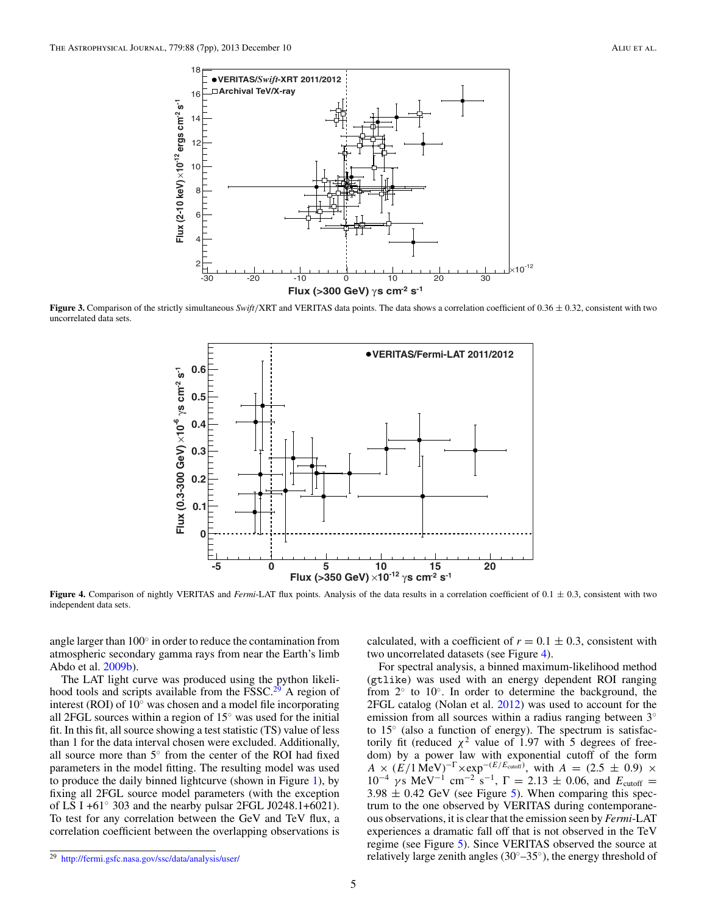<span id="page-5-0"></span>

**Figure 3.** Comparison of the strictly simultaneous *Swift/*XRT and VERITAS data points. The data shows a correlation coefficient of 0.36 ± 0.32, consistent with two uncorrelated data sets.



**Figure 4.** Comparison of nightly VERITAS and *Fermi*-LAT flux points. Analysis of the data results in a correlation coefficient of 0.1  $\pm$  0.3, consistent with two independent data sets.

angle larger than 100◦ in order to reduce the contamination from atmospheric secondary gamma rays from near the Earth's limb Abdo et al. [2009b\)](#page-7-0).

The LAT light curve was produced using the python likelihood tools and scripts available from the  $FSSC<sup>29</sup>$  A region of interest (ROI) of 10◦ was chosen and a model file incorporating all 2FGL sources within a region of 15◦ was used for the initial fit. In this fit, all source showing a test statistic (TS) value of less than 1 for the data interval chosen were excluded. Additionally, all source more than 5◦ from the center of the ROI had fixed parameters in the model fitting. The resulting model was used to produce the daily binned lightcurve (shown in Figure [1\)](#page-3-0), by fixing all 2FGL source model parameters (with the exception of LS I +61◦ 303 and the nearby pulsar 2FGL J0248.1+6021). To test for any correlation between the GeV and TeV flux, a correlation coefficient between the overlapping observations is

calculated, with a coefficient of  $r = 0.1 \pm 0.3$ , consistent with two uncorrelated datasets (see Figure 4).

For spectral analysis, a binned maximum-likelihood method (gtlike) was used with an energy dependent ROI ranging from  $2°$  to  $10°$ . In order to determine the background, the 2FGL catalog (Nolan et al. [2012\)](#page-7-0) was used to account for the emission from all sources within a radius ranging between 3<sup>◦</sup> to 15◦ (also a function of energy). The spectrum is satisfactorily fit (reduced  $\chi^2$  value of 1.97 with 5 degrees of freedom) by a power law with exponential cutoff of the form  $A \times (E/1 \text{ MeV})^{-\Gamma} \times \exp^{-(E/E_{\text{cutoff}})}$ , with  $A = (2.5 \pm 0.9) \times$ 10<sup>-4</sup> *γ* s MeV<sup>-1</sup> cm<sup>-2</sup> s<sup>-1</sup>, Γ = 2.13 ± 0.06, and  $E_{\text{cutoff}}$  =  $3.98 \pm 0.42$  GeV (see Figure [5\)](#page-6-0). When comparing this spectrum to the one observed by VERITAS during contemporaneous observations, it is clear that the emission seen by *Fermi*-LAT experiences a dramatic fall off that is not observed in the TeV regime (see Figure [5\)](#page-6-0). Since VERITAS observed the source at relatively large zenith angles ( $30^\circ$ – $35^\circ$ ), the energy threshold of

<sup>29</sup> <http://fermi.gsfc.nasa.gov/ssc/data/analysis/user/>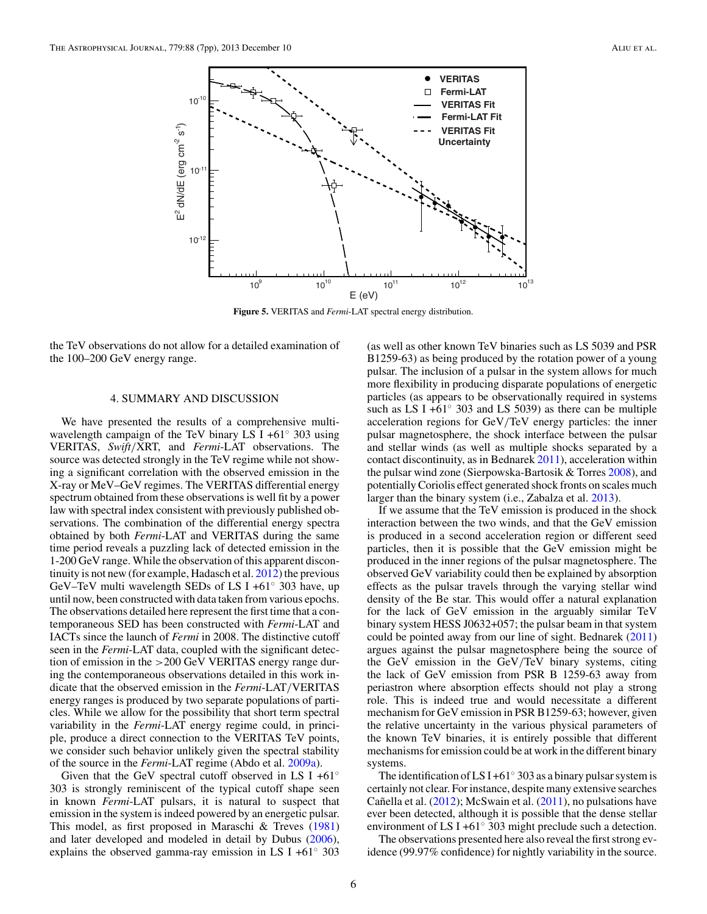<span id="page-6-0"></span>

**Figure 5.** VERITAS and *Fermi*-LAT spectral energy distribution.

the TeV observations do not allow for a detailed examination of the 100–200 GeV energy range.

#### 4. SUMMARY AND DISCUSSION

We have presented the results of a comprehensive multiwavelength campaign of the TeV binary LS I +61◦ 303 using VERITAS, *Swift/*XRT, and *Fermi*-LAT observations. The source was detected strongly in the TeV regime while not showing a significant correlation with the observed emission in the X-ray or MeV–GeV regimes. The VERITAS differential energy spectrum obtained from these observations is well fit by a power law with spectral index consistent with previously published observations. The combination of the differential energy spectra obtained by both *Fermi*-LAT and VERITAS during the same time period reveals a puzzling lack of detected emission in the 1-200 GeV range. While the observation of this apparent discontinuity is not new (for example, Hadasch et al. [2012\)](#page-7-0) the previous GeV–TeV multi wavelength SEDs of LS I +61 $\degree$  303 have, up until now, been constructed with data taken from various epochs. The observations detailed here represent the first time that a contemporaneous SED has been constructed with *Fermi*-LAT and IACTs since the launch of *Fermi* in 2008. The distinctive cutoff seen in the *Fermi*-LAT data, coupled with the significant detection of emission in the *>*200 GeV VERITAS energy range during the contemporaneous observations detailed in this work indicate that the observed emission in the *Fermi*-LAT*/*VERITAS energy ranges is produced by two separate populations of particles. While we allow for the possibility that short term spectral variability in the *Fermi*-LAT energy regime could, in principle, produce a direct connection to the VERITAS TeV points, we consider such behavior unlikely given the spectral stability of the source in the *Fermi*-LAT regime (Abdo et al. [2009a\)](#page-7-0).

Given that the GeV spectral cutoff observed in LS I +61 $\degree$ 303 is strongly reminiscent of the typical cutoff shape seen in known *Fermi*-LAT pulsars, it is natural to suspect that emission in the system is indeed powered by an energetic pulsar. This model, as first proposed in Maraschi & Treves [\(1981\)](#page-7-0) and later developed and modeled in detail by Dubus [\(2006\)](#page-7-0), explains the observed gamma-ray emission in LS I +61 $\degree$  303

(as well as other known TeV binaries such as LS 5039 and PSR B1259-63) as being produced by the rotation power of a young pulsar. The inclusion of a pulsar in the system allows for much more flexibility in producing disparate populations of energetic particles (as appears to be observationally required in systems such as LS I +61 $\degree$  303 and LS 5039) as there can be multiple acceleration regions for GeV*/*TeV energy particles: the inner pulsar magnetosphere, the shock interface between the pulsar and stellar winds (as well as multiple shocks separated by a contact discontinuity, as in Bednarek [2011\)](#page-7-0), acceleration within the pulsar wind zone (Sierpowska-Bartosik & Torres [2008\)](#page-7-0), and potentially Coriolis effect generated shock fronts on scales much larger than the binary system (i.e., Zabalza et al. [2013\)](#page-7-0).

If we assume that the TeV emission is produced in the shock interaction between the two winds, and that the GeV emission is produced in a second acceleration region or different seed particles, then it is possible that the GeV emission might be produced in the inner regions of the pulsar magnetosphere. The observed GeV variability could then be explained by absorption effects as the pulsar travels through the varying stellar wind density of the Be star. This would offer a natural explanation for the lack of GeV emission in the arguably similar TeV binary system HESS J0632+057; the pulsar beam in that system could be pointed away from our line of sight. Bednarek [\(2011\)](#page-7-0) argues against the pulsar magnetosphere being the source of the GeV emission in the GeV*/*TeV binary systems, citing the lack of GeV emission from PSR B 1259-63 away from periastron where absorption effects should not play a strong role. This is indeed true and would necessitate a different mechanism for GeV emission in PSR B1259-63; however, given the relative uncertainty in the various physical parameters of the known TeV binaries, it is entirely possible that different mechanisms for emission could be at work in the different binary systems.

The identification of LS I +61 $\degree$  303 as a binary pulsar system is certainly not clear. For instance, despite many extensive searches Cañella et al.  $(2012)$  $(2012)$ ; McSwain et al.  $(2011)$ , no pulsations have ever been detected, although it is possible that the dense stellar environment of LS I +61◦ 303 might preclude such a detection.

The observations presented here also reveal the first strong evidence (99.97% confidence) for nightly variability in the source.